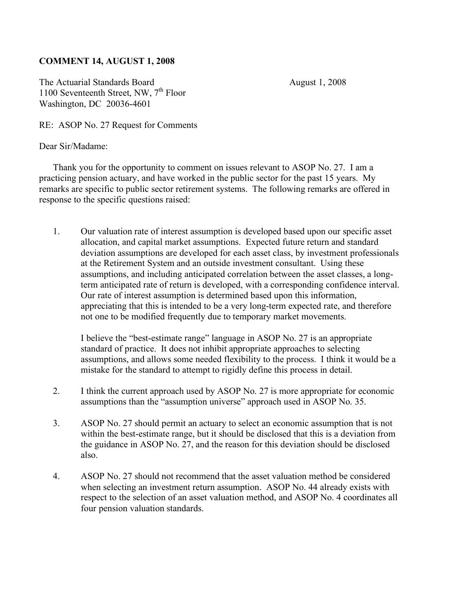## **COMMENT 14, AUGUST 1, 2008**

The Actuarial Standards Board August 1, 2008 1100 Seventeenth Street, NW,  $7<sup>th</sup>$  Floor Washington, DC 20036-4601

RE: ASOP No. 27 Request for Comments

Dear Sir/Madame:

Thank you for the opportunity to comment on issues relevant to ASOP No. 27. I am a practicing pension actuary, and have worked in the public sector for the past 15 years. My remarks are specific to public sector retirement systems. The following remarks are offered in response to the specific questions raised:

1. Our valuation rate of interest assumption is developed based upon our specific asset allocation, and capital market assumptions. Expected future return and standard deviation assumptions are developed for each asset class, by investment professionals at the Retirement System and an outside investment consultant. Using these assumptions, and including anticipated correlation between the asset classes, a longterm anticipated rate of return is developed, with a corresponding confidence interval. Our rate of interest assumption is determined based upon this information, appreciating that this is intended to be a very long-term expected rate, and therefore not one to be modified frequently due to temporary market movements.

I believe the "best-estimate range" language in ASOP No. 27 is an appropriate standard of practice. It does not inhibit appropriate approaches to selecting assumptions, and allows some needed flexibility to the process. I think it would be a mistake for the standard to attempt to rigidly define this process in detail.

- 2. I think the current approach used by ASOP No. 27 is more appropriate for economic assumptions than the "assumption universe" approach used in ASOP No. 35.
- 3. ASOP No. 27 should permit an actuary to select an economic assumption that is not within the best-estimate range, but it should be disclosed that this is a deviation from the guidance in ASOP No. 27, and the reason for this deviation should be disclosed also.
- 4. ASOP No. 27 should not recommend that the asset valuation method be considered when selecting an investment return assumption. ASOP No. 44 already exists with respect to the selection of an asset valuation method, and ASOP No. 4 coordinates all four pension valuation standards.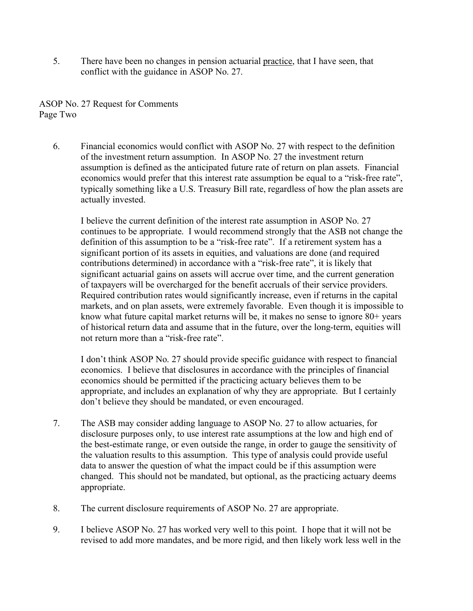5. There have been no changes in pension actuarial practice, that I have seen, that conflict with the guidance in ASOP No. 27.

ASOP No. 27 Request for Comments Page Two

6. Financial economics would conflict with ASOP No. 27 with respect to the definition of the investment return assumption. In ASOP No. 27 the investment return assumption is defined as the anticipated future rate of return on plan assets. Financial economics would prefer that this interest rate assumption be equal to a "risk-free rate", typically something like a U.S. Treasury Bill rate, regardless of how the plan assets are actually invested.

I believe the current definition of the interest rate assumption in ASOP No. 27 continues to be appropriate. I would recommend strongly that the ASB not change the definition of this assumption to be a "risk-free rate". If a retirement system has a significant portion of its assets in equities, and valuations are done (and required contributions determined) in accordance with a "risk-free rate", it is likely that significant actuarial gains on assets will accrue over time, and the current generation of taxpayers will be overcharged for the benefit accruals of their service providers. Required contribution rates would significantly increase, even if returns in the capital markets, and on plan assets, were extremely favorable. Even though it is impossible to know what future capital market returns will be, it makes no sense to ignore 80+ years of historical return data and assume that in the future, over the long-term, equities will not return more than a "risk-free rate".

I don't think ASOP No. 27 should provide specific guidance with respect to financial economics. I believe that disclosures in accordance with the principles of financial economics should be permitted if the practicing actuary believes them to be appropriate, and includes an explanation of why they are appropriate. But I certainly don't believe they should be mandated, or even encouraged.

- 7. The ASB may consider adding language to ASOP No. 27 to allow actuaries, for disclosure purposes only, to use interest rate assumptions at the low and high end of the best-estimate range, or even outside the range, in order to gauge the sensitivity of the valuation results to this assumption. This type of analysis could provide useful data to answer the question of what the impact could be if this assumption were changed. This should not be mandated, but optional, as the practicing actuary deems appropriate.
- 8. The current disclosure requirements of ASOP No. 27 are appropriate.
- 9. I believe ASOP No. 27 has worked very well to this point. I hope that it will not be revised to add more mandates, and be more rigid, and then likely work less well in the